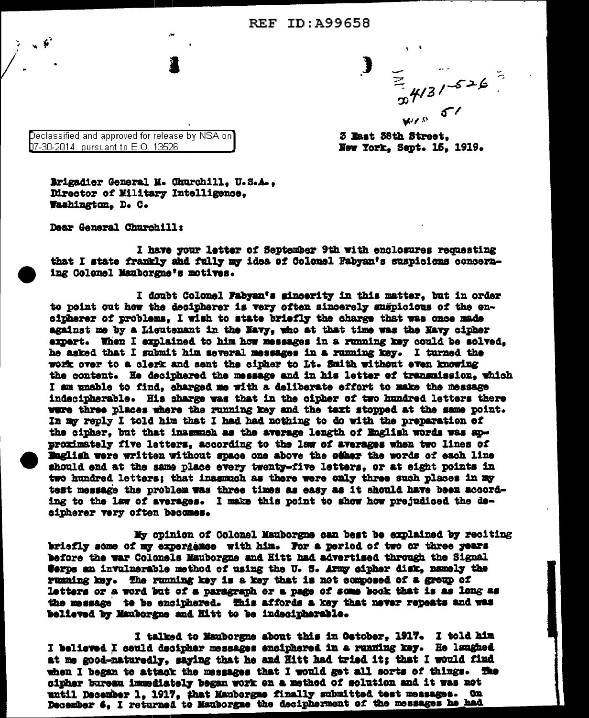**REF ID: A99658** 

 $\frac{1}{x}$ <br> $\frac{4}{3}$ /-526

3 East 38th Street. New York. Sept. 15. 1919.

Declassified and approved for release by NSA on $^\circ$ 07-30-2014 pursuant to E.O. 13526

Brigadier General M. Churchill, U.S.A., Director of Military Intelligence. Washington. D. C.

Dear General Churchill:

I have your letter of September 9th with enclosures requesting that I state frankly and fully my idea of Colonel Fabyan's suspicions concerning Colonel Mauborgne's motives.

I doubt Colonel Fabyan's sincerity in this matter, but in order to point out how the decipherer is very often sincerely suspicious of the encipherer of problems. I wish to state briefly the charge that was once made against me by a Lieutenant in the Navy, who at that time was the Navy cipher expert. When I explained to him how messages in a running key could be solved. he asked that I submit him several messages in a running key. I turned the work over to a clerk and sent the cipher to Lt. Smith without even knowing the content. He deciphered the message and in his letter of transmission, which I am unable to find, charged me with a deliberate effort to make the message indecipherable. His sharge was that in the cipher of two hundred letters there ware three places where the running key and the text stopped at the same point. In my reply I told him that I had had nothing to do with the preparation of the cipher, but that insumuch as the average length of English words was approximately five letters, according to the law of averages when two lines of English were written without space one above the other the words of each line should end at the same place every twenty-five letters, or at eight points in two hundred letters; that inasmuch as there were only three such places in my test message the problem was three times as easy as it should have been according to the law of averages. I make this point to show how prejudiced the decipherer very often becomes.

My opinion of Colonel Mauborgne can best be explained by reciting briefly some of my experience with him. For a period of two or three years before the war Colonels Mauborgne and Hitt had advertised through the Signal Cerps an invulnerable method of using the U.S. Army cipher disk, namely the running key. The running key is a key that is not composed of a group of letters or a word but of a paragraph or a page of some book that is as long as the message to be ensiphered. This affords a key that never repeats and was believed by Manborgne and Hitt to be indecipherable.

I talked to Manborgne about this in Oetober, 1917. I told him I believed I could decipher messages enciphered in a running key. He laughed at me good-naturedly, saying that he and Hitt had tried it; that I would find when I began to attack the messages that I would get all sorts of things. The cipher bureau immediately began work on a method of solution and it was not until December 1, 1917, that Mauborgme finally submitted test messages. On December 6, I returned to Mauborgme the decipherment of the messages he had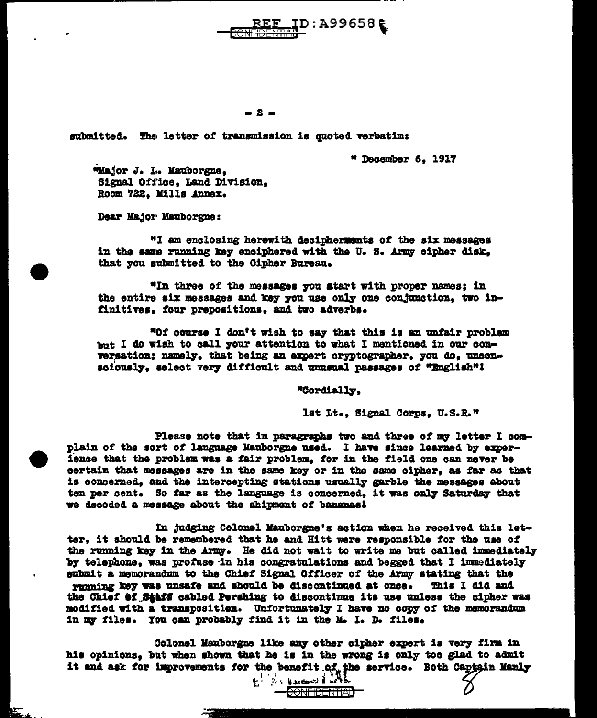ID:A99658€

 $-2-$ 

submitted. The letter of transmission is quoted verbatim:

" December 6, 1917

"Major J. L. Mauborgne, Signal Office. Land Division. Room 722. Mills Annex.

Dear Major Mauborgne:

"I am enclosing herewith deciphermunts of the six messages in the same running key enciphered with the U.S. Army cipher disk. that you submitted to the Cipher Bureau.

"In three of the messages you start with proper names; in the entire six messages and key you use only one conjunction, two infinitives, four prepositions, and two adverbs.

"Of course I don't wish to say that this is an unfair problem but I do wish to call your attention to what I mentioned in our conversation; namely, that being an expert cryptographer, you do, unconsciously, select very difficult and unusual passages of "English"!

"Cordially.

lst Lt., Signal Corps, U.S.R."

Please note that in paragraphs two and three of my letter I complain of the sort of language Mauborgne used. I have since learned by experience that the problem was a fair problem, for in the field one can never be certain that messages are in the same key or in the same cipher, as far as that is concerned. and the intercepting stations usually garble the messages about ten per cent. So far as the language is concerned, it was only Saturday that we decoded a message about the shipment of bananas!

In judging Colonel Mauborgne's action when he received this letter, it should be remembered that he and Hitt were responsible for the use of the running key in the Army. He did not wait to write me but called immediately by telephone. was profuse in his congratulations and begged that I immediately submit a memorandum to the Chief Signal Officer of the Army stating that the running key was unsafe and should be discontinued at once. This I did and the Chief af Saaff cabled Pershing to discontinue its use unless the cipher was modified with a transposition. Unfortunately I have no copy of the memorandum in my files. You can probably find it in the M. I. D. files.

Colonel Mauborgne like any other cipher expert is very firm in his opinions, but when shown that he is in the wrong is only too glad to admit it and ask for improvements for the benefit of the service. Both Captain Manly

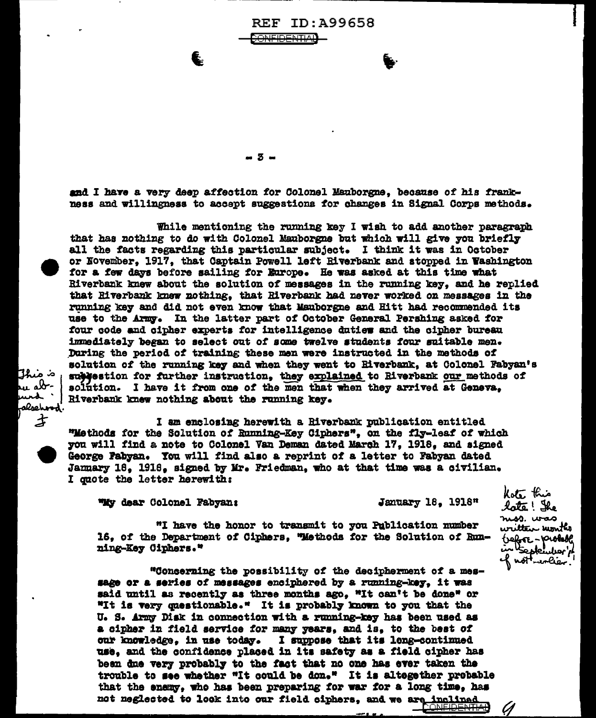REF ID: A99658 ONEIDENTIAL

 $-5-$ 

and I have a very deep affection for Colonel Manborgne, because of his frankness and willingness to accept suggestions for changes in Signal Corps methods.

While mentioning the running key I wish to add another paragraph that has nothing to do with Colonel Mauborgne but which will give you briefly all the facts regarding this particular subject. I think it was in October or November. 1917. that Captain Powell left Riverbank and stopped in Washington for a few days before sailing for Europe. He was asked at this time what Riverbank knew about the solution of messages in the running key, and he replied that Riverbank knew nothing, that Riverbank had never worked on messages in the running key and did not even know that Mauborgne and Hitt had recommended its use to the Army. In the latter part of October General Pershing asked for four code and cipher experts for intelligence duties and the cipher bureau immediately began to select out of some twelve students four suitable men. During the period of training these men were instructed in the methods of solution of the running key and when they went to Riverbank, at Colonel Fabyan's sublestion for further instruction, they explained to Riverbank our methods of solution. I have it from one of the men that when they arrived at Geneva. Riverbank knew nothing about the running key.

I am enclosing herewith a Riverbank publication entitled "Methods for the Solution of Running-Key Ciphers", on the fly-leaf of which you will find a note to Colonel Van Deman dated March 17, 1918, and signed George Pabyan. You will find also a reprint of a letter to Fabyan dated January 18, 1918, signed by Mr. Friedman, who at that time was a civilian. I quote the letter herewith:

"My dear Colonel Fabyan:

ة منبلاً

u ab-

und '

alsehood'  $\boldsymbol{\dot{\mathcal{Z}}}$ 

January 18, 1918"

**CONEID<del>ENTIAL</del>** 

Ø

"I have the honor to transmit to you Publication number 16, of the Department of Ciphers, "Methods for the Solution of Running-Key Ciphers."

"Concerning the possibility of the decipherment of a message or a series of messages enciphered by a running-key, it was said until as recently as three months ago, "It can't be done" or "It is very questionable." It is probably known to you that the U. S. Army Disk in connection with a running-key has been used as a cipher in field service for many years, and is, to the best of our knowledge, in use today. I suppose that its long-continued use, and the confidence placed in its safety as a field cipher has been due very probably to the fact that no one has ever taken the trouble to see whether "It could be don." It is altegether probable that the energ, who has been preparing for war for a long time, has not neglected to look into our field ciphers, and we are inclined

Kote this late! She niss. was written uonthe trefore-probable in the plendier!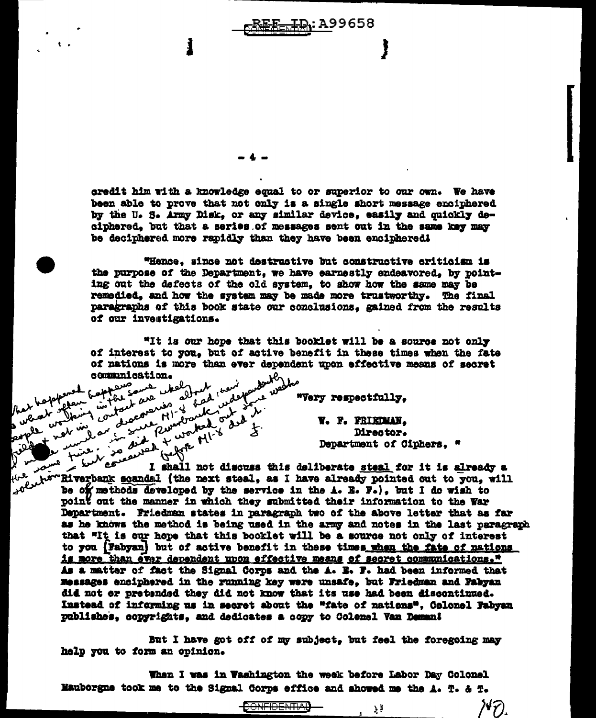credit him with a knowledge equal to or superior to our own. We have been able to prove that not only is a single short message enciphered by the U.S. Army Disk, or any similar device, easily and quickly deciphered, but that a series of messages sent out in the same key may be deciphered more rapidly than they have been enciphered!

E<del>E ID</del>: A99658

"Hence, since not destructive but constructive criticism is the purpose of the Department, we have earnestly endeavored, by pointing out the defects of the old system, to show how the same may be remedied, and how the system may be made more trustworthy. The final paragraphs of this book state our conclusions, gained from the results of our investigations.

"It is our hope that this booklet will be a source not only of interest to you, but of active benefit in these times when the fate than of the state of the state of the state of the state of the state of the state of the state of the state o<br>A contract when the state of the state of the state of the state of the state of the state of the state of the<br> of nations is more than ever dependent upon effective means of secret

Tout don

oppened fort

 $\mathbf{v}^{\mathbf{r}}$ 

plan watter so

David in the town

"Very respectfully,

V. F. FRIEDMAN. Director. Department of Ciphers. "

7,

 $\mathcal{N}\widehat{\mathcal{F}}$ 

single the form of the same of the same of the same of the same of the same of the same of the same of the same of the same of the same of the same of the same of the same of the same of the same of the same of the same of نتحق the terms are usual call deliberate steal for it is already a term in the monday of the same of the next steal, as I have already pointed out to you, will point out the manner in which they submitted their information to the War Department. Friedman states in paragraph two of the above letter that as far as he knows the method is being used in the army and notes in the last paragraph that "It is our hope that this booklet will be a source not only of interest to you (Fabyan) but of active benefit in these times when the fate of nations is more than ever dependent upon effective means of secret communications." As a matter of fact the Signal Corps and the A. B. F. had been informed that messages enciphered in the running key were unsafe, but Friedman and Fabyan did not or pretended they did not know that its use had been discontinued. Instead of informing us in secret about the "fate of nations". Colonel Fabyan publishes, copyrights, and dedicates a copy to Colemel Van Deman!

But I have got off of my subject, but feel the foregoing may help you to form an opinion.

When I was in Washington the week before Labor Day Colonel Mauborgne took me to the Signal Corps effice and showed me the A. T. & T.

<del>CONFIDENTIA</del>